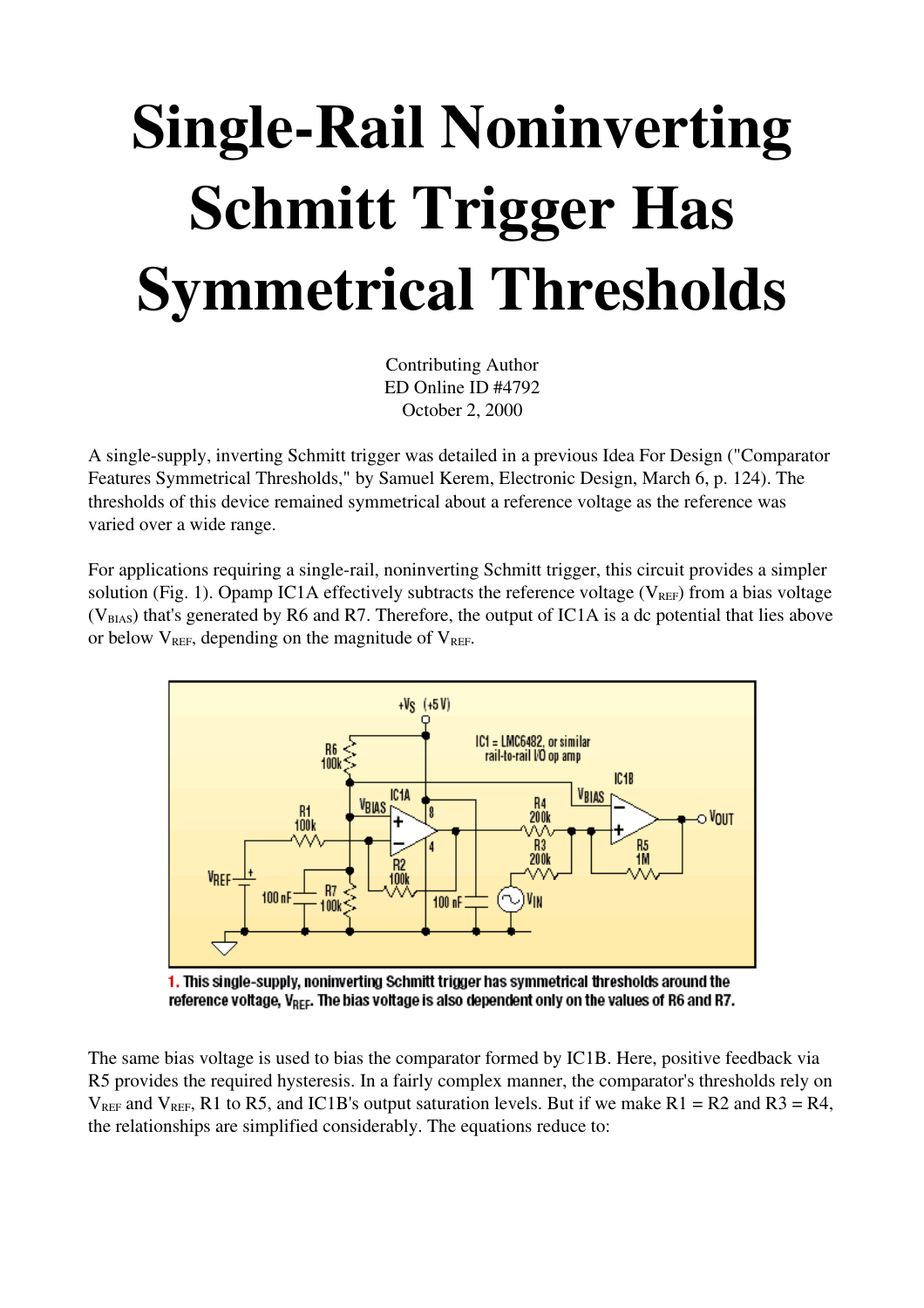## **Single-Rail Noninverting** Schmitt Trigger Has Symmetrical Thresholds

Contributing Author ED Online ID #4792 October 2, 2000

A singlesupply, inverting Schmitt trigger was detailed in a previous Idea For Design ("Comparator Features Symmetrical Thresholds," by Samuel Kerem, Electronic Design, March 6, p. 124). The thresholds of this device remained symmetrical about a reference voltage as the reference was varied over a wide range.

For applications requiring a single-rail, noninverting Schmitt trigger, this circuit provides a simpler solution (Fig. 1). Opamp IC1A effectively subtracts the reference voltage ( $V_{\text{REF}}$ ) from a bias voltage  $(V_{BIAS})$  that's generated by R6 and R7. Therefore, the output of IC1A is a dc potential that lies above or below  $V_{REF}$ , depending on the magnitude of  $V_{REF}$ .



1. This single-supply, noninverting Schmitt trigger has symmetrical thresholds around the reference voltage, V<sub>REF</sub>. The bias voltage is also dependent only on the values of R6 and R7.

The same bias voltage is used to bias the comparator formed by IC1B. Here, positive feedback via R5 provides the required hysteresis. In a fairly complex manner, the comparator's thresholds rely on  $V_{REF}$  and  $V_{REF}$ , R1 to R5, and IC1B's output saturation levels. But if we make R1 = R2 and R3 = R4, the relationships are simplified considerably. The equations reduce to: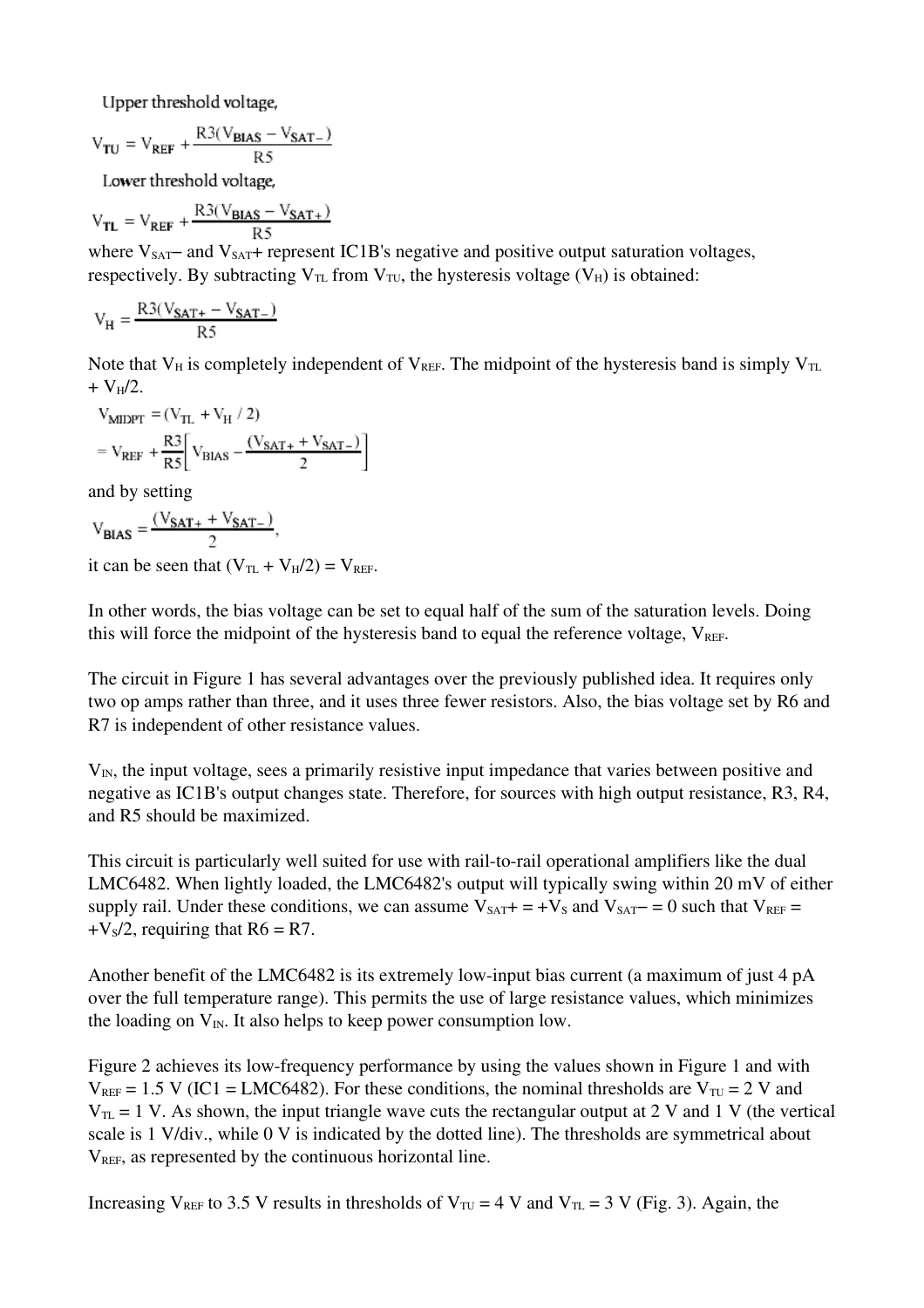Upper threshold voltage,

$$
\mathrm{V_{TU}} = \mathrm{V_{REF}} + \frac{\mathrm{R3(V_{BIAS} - V_{SAT-})}}{\mathrm{R5}}
$$

Lower threshold voltage,

$$
\mathrm{V}_{\mathrm{TL}} = \mathrm{V}_{\mathrm{REF}} + \frac{\mathrm{R3}(\mathrm{V}_{\mathrm{BIAS}} - \mathrm{V}_{\mathrm{SAT}+})}{\mathrm{R5}}
$$

where  $V_{\text{SAT}}$  and  $V_{\text{SAT}}$ + represent IC1B's negative and positive output saturation voltages, respectively. By subtracting  $V_{TL}$  from  $V_{TU}$ , the hysteresis voltage ( $V_H$ ) is obtained:

$$
\rm V_H = \frac{R3(V_{SAT+} - V_{SAT-})}{R5}
$$

Note that  $V_H$  is completely independent of  $V_{REF}$ . The midpoint of the hysteresis band is simply  $V_{TL}$  $+ V_H/2.$ 

$$
V_{MIDPT} = (V_{TL} + V_H / 2)
$$
  
=  $V_{REF} + \frac{R3}{R5} \left[ V_{BIAS} - \frac{(V_{SAT} + V_{SAT-})}{2} \right]$ 

and by setting

$$
V_{\text{BIAS}} = \frac{(V_{\text{SAT}+} + V_{\text{SAT}-})}{2},
$$

it can be seen that  $(V_{TL} + V_H/2) = V_{REF}$ .

In other words, the bias voltage can be set to equal half of the sum of the saturation levels. Doing this will force the midpoint of the hysteresis band to equal the reference voltage,  $V_{REF}$ .

The circuit in Figure 1 has several advantages over the previously published idea. It requires only two op amps rather than three, and it uses three fewer resistors. Also, the bias voltage set by R6 and R7 is independent of other resistance values.

 $V_{IN}$ , the input voltage, sees a primarily resistive input impedance that varies between positive and negative as IC1B's output changes state. Therefore, for sources with high output resistance, R3, R4, and R5 should be maximized.

This circuit is particularly well suited for use with rail-to-rail operational amplifiers like the dual LMC6482. When lightly loaded, the LMC6482's output will typically swing within 20 mV of either supply rail. Under these conditions, we can assume  $V_{SAT}$  = +V<sub>S</sub> and V<sub>SAT</sub> − = 0 such that V<sub>REF</sub> =  $+V<sub>s</sub>/2$ , requiring that  $R6 = R7$ .

Another benefit of the LMC6482 is its extremely low-input bias current (a maximum of just 4 pA over the full temperature range). This permits the use of large resistance values, which minimizes the loading on  $V_{\text{IN}}$ . It also helps to keep power consumption low.

Figure 2 achieves its low-frequency performance by using the values shown in Figure 1 and with  $V_{REF}$  = 1.5 V (IC1 = LMC6482). For these conditions, the nominal thresholds are  $V_{TU}$  = 2 V and  $V_{TL} = 1$  V. As shown, the input triangle wave cuts the rectangular output at 2 V and 1 V (the vertical scale is 1 V/div., while 0 V is indicated by the dotted line). The thresholds are symmetrical about  $V<sub>REF</sub>$ , as represented by the continuous horizontal line.

Increasing V<sub>REF</sub> to 3.5 V results in thresholds of V<sub>TU</sub> = 4 V and V<sub>TL</sub> = 3 V (Fig. 3). Again, the